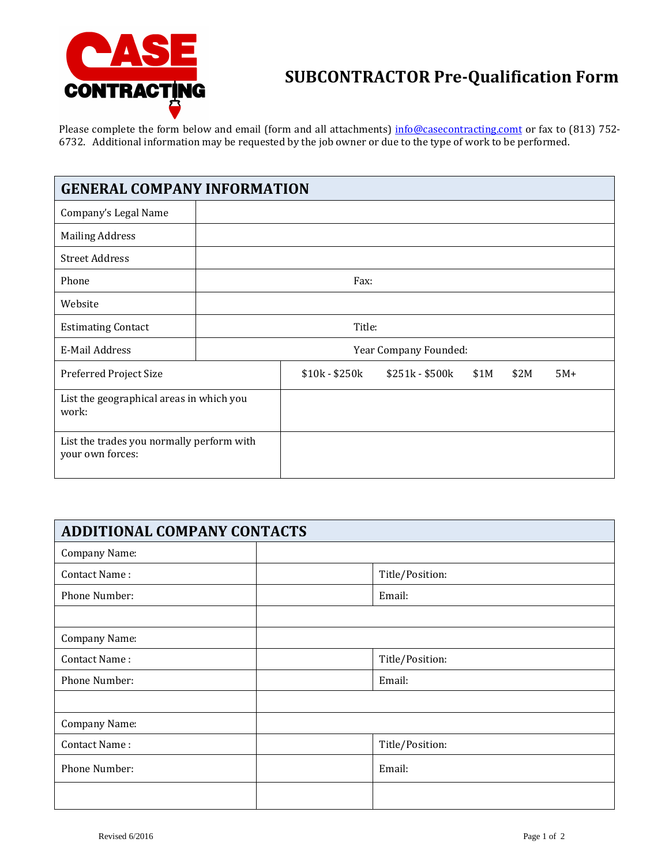

## **SUBCONTRACTOR Pre-Qualification Form**

Please complete the form below and email (form and all attachments) info@casecontracting.comt or fax to (813) 752-6732. Additional information may be requested by the job owner or due to the type of work to be performed.

| <b>GENERAL COMPANY INFORMATION</b>                            |                       |                |                 |      |      |       |
|---------------------------------------------------------------|-----------------------|----------------|-----------------|------|------|-------|
| Company's Legal Name                                          |                       |                |                 |      |      |       |
| <b>Mailing Address</b>                                        |                       |                |                 |      |      |       |
| <b>Street Address</b>                                         |                       |                |                 |      |      |       |
| Phone                                                         | Fax:                  |                |                 |      |      |       |
| Website                                                       |                       |                |                 |      |      |       |
| <b>Estimating Contact</b>                                     | Title:                |                |                 |      |      |       |
| E-Mail Address                                                | Year Company Founded: |                |                 |      |      |       |
| Preferred Project Size                                        |                       | $$10k - $250k$ | $$251k - $500k$ | \$1M | \$2M | $5M+$ |
| List the geographical areas in which you<br>work:             |                       |                |                 |      |      |       |
| List the trades you normally perform with<br>your own forces: |                       |                |                 |      |      |       |

| <b>ADDITIONAL COMPANY CONTACTS</b> |  |                 |  |  |  |  |
|------------------------------------|--|-----------------|--|--|--|--|
| Company Name:                      |  |                 |  |  |  |  |
| Contact Name:                      |  | Title/Position: |  |  |  |  |
| Phone Number:                      |  | Email:          |  |  |  |  |
|                                    |  |                 |  |  |  |  |
| Company Name:                      |  |                 |  |  |  |  |
| <b>Contact Name:</b>               |  | Title/Position: |  |  |  |  |
| Phone Number:                      |  | Email:          |  |  |  |  |
|                                    |  |                 |  |  |  |  |
| Company Name:                      |  |                 |  |  |  |  |
| Contact Name:                      |  | Title/Position: |  |  |  |  |
| Phone Number:                      |  | Email:          |  |  |  |  |
|                                    |  |                 |  |  |  |  |
|                                    |  |                 |  |  |  |  |